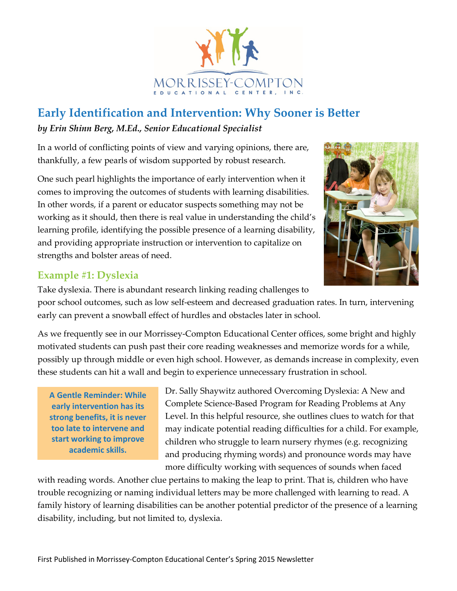

# **Early Identification and Intervention: Why Sooner is Better**

#### *by Erin Shinn Berg, M.Ed., Senior Educational Specialist*

In a world of conflicting points of view and varying opinions, there are, thankfully, a few pearls of wisdom supported by robust research.

One such pearl highlights the importance of early intervention when it comes to improving the outcomes of students with learning disabilities. In other words, if a parent or educator suspects something may not be working as it should, then there is real value in understanding the child's learning profile, identifying the possible presence of a learning disability, and providing appropriate instruction or intervention to capitalize on strengths and bolster areas of need.



Take dyslexia. There is abundant research linking reading challenges to poor school outcomes, such as low self-esteem and decreased graduation rates. In turn, intervening early can prevent a snowball effect of hurdles and obstacles later in school.

As we frequently see in our Morrissey-Compton Educational Center offices, some bright and highly motivated students can push past their core reading weaknesses and memorize words for a while, possibly up through middle or even high school. However, as demands increase in complexity, even these students can hit a wall and begin to experience unnecessary frustration in school.

**A Gentle Reminder: While early intervention has its strong benefits, it is never too late to intervene and start working to improve academic skills.**

Dr. Sally Shaywitz authored Overcoming Dyslexia: A New and Complete Science-Based Program for Reading Problems at Any Level. In this helpful resource, she outlines clues to watch for that may indicate potential reading difficulties for a child. For example, children who struggle to learn nursery rhymes (e.g. recognizing and producing rhyming words) and pronounce words may have more difficulty working with sequences of sounds when faced

with reading words. Another clue pertains to making the leap to print. That is, children who have trouble recognizing or naming individual letters may be more challenged with learning to read. A family history of learning disabilities can be another potential predictor of the presence of a learning disability, including, but not limited to, dyslexia.